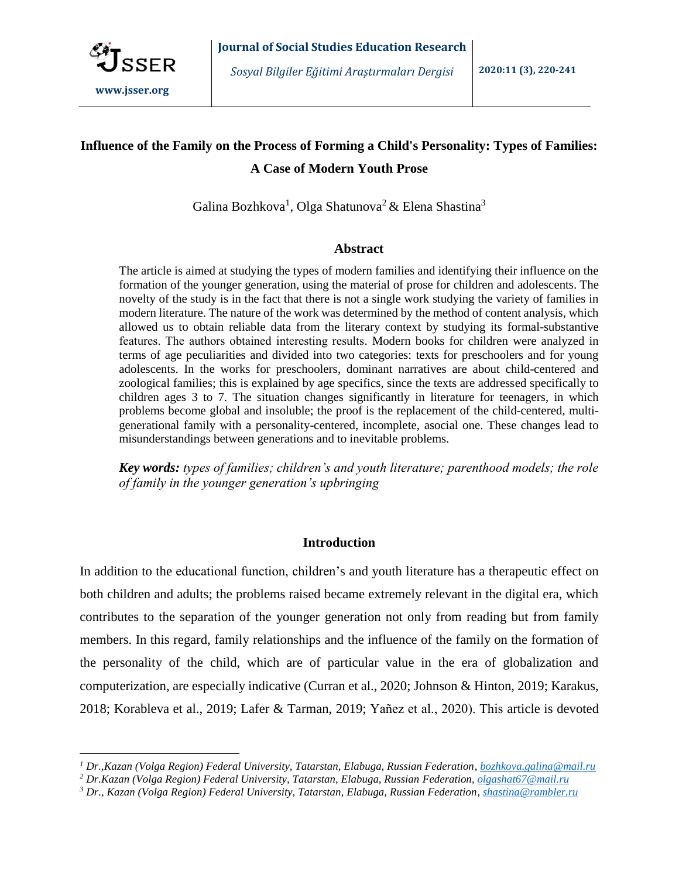

 $\overline{a}$ 

# **Influence of the Family on the Process of Forming a Child's Personality: Types of Families: A Case of Modern Youth Prose**

Galina Bozhkova<sup>1</sup>, Olga Shatunova<sup>2</sup> & Elena Shastina<sup>3</sup>

## **Abstract**

The article is aimed at studying the types of modern families and identifying their influence on the formation of the younger generation, using the material of prose for children and adolescents. The novelty of the study is in the fact that there is not a single work studying the variety of families in modern literature. The nature of the work was determined by the method of content analysis, which allowed us to obtain reliable data from the literary context by studying its formal-substantive features. Тhe authors obtained interesting results. Modern books for children were analyzed in terms of age peculiarities and divided into two categories: texts for preschoolers and for young adolescents. In the works for preschoolers, dominant narratives are about child-centered and zoological families; this is explained by age specifics, since the texts are addressed specifically to children ages 3 to 7. The situation changes significantly in literature for teenagers, in which problems become global and insoluble; the proof is the replacement of the child-centered, multigenerational family with a personality-centered, incomplete, asocial one. These changes lead to misunderstandings between generations and to inevitable problems.

*Key words: types of families; children's and youth literature; parenthood models; the role of family in the younger generation's upbringing*

# **Introduction**

In addition to the educational function, children's and youth literature has a therapeutic effect on both children and adults; the problems raised became extremely relevant in the digital era, which contributes to the separation of the younger generation not only from reading but from family members. In this regard, family relationships and the influence of the family on the formation of the personality of the child, which are of particular value in the era of globalization and computerization, are especially indicative (Curran et al., 2020; Johnson & Hinton, 2019; Karakus, 2018; Korableva et al., 2019; Lafer & Tarman, 2019; Yañez et al., 2020). This article is devoted

*<sup>1</sup> Dr.,Kazan (Volga Region) Federal University, Tatarstan, Elabuga, Russian Federation, [bozhkova.galina@mail.ru](mailto:bozhkova.galina@mail.ru)*

*<sup>2</sup> Dr.Kazan (Volga Region) Federal University, Tatarstan, Elabuga, Russian Federation[, olgashat67@mail.ru](mailto:olgashat67@mail.ru)*

*<sup>3</sup> Dr*., *Kazan (Volga Region) Federal University, Tatarstan, Elabuga, Russian Federation[, shastina@rambler.ru](mailto:shastina@rambler.ru)*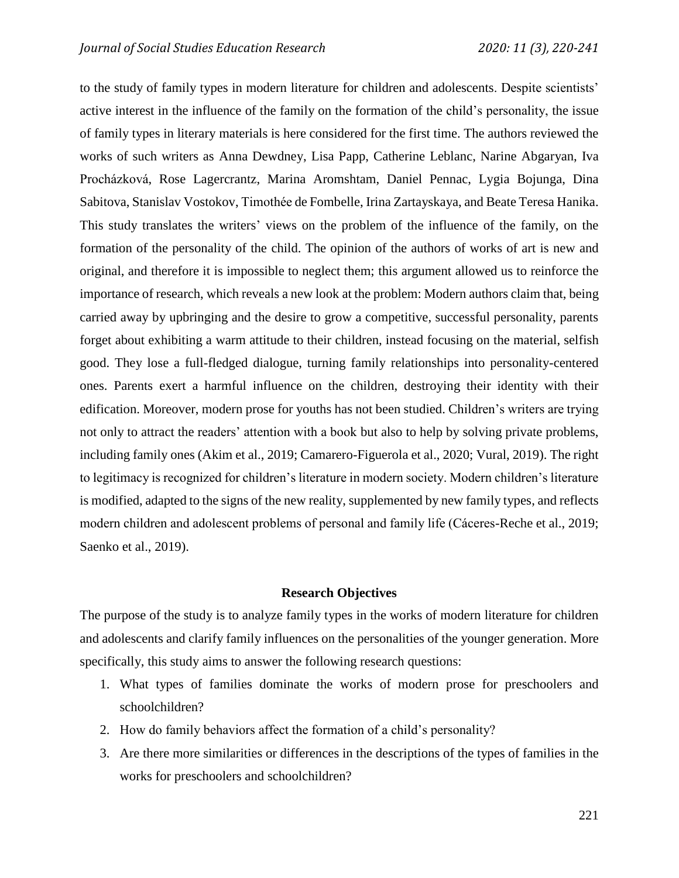to the study of family types in modern literature for children and adolescents. Despite scientists' active interest in the influence of the family on the formation of the child's personality, the issue of family types in literary materials is here considered for the first time. The authors reviewed the works of such writers as Anna Dewdney, Lisa Papp, Catherine Leblanc, Narine Abgaryan, Iva Procházková, Rose Lagercrantz, Marina Aromshtam, Daniel Pennac, Lygia Bojunga, Dina Sabitova, Stanislav Vostokov, Timothée de Fombelle, Irina Zartayskaya, and Beate Teresa Hanika. This study translates the writers' views on the problem of the influence of the family, on the formation of the personality of the child. The opinion of the authors of works of art is new and original, and therefore it is impossible to neglect them; this argument allowed us to reinforce the importance of research, which reveals a new look at the problem: Modern authors claim that, being carried away by upbringing and the desire to grow a competitive, successful personality, parents forget about exhibiting a warm attitude to their children, instead focusing on the material, selfish good. They lose a full-fledged dialogue, turning family relationships into personality-centered ones. Parents exert a harmful influence on the children, destroying their identity with their edification. Moreover, modern prose for youths has not been studied. Children's writers are trying not only to attract the readers' attention with a book but also to help by solving private problems, including family ones (Akim et al., 2019; Camarero-Figuerola et al., 2020; Vural, 2019). The right to legitimacy is recognized for children's literature in modern society. Modern children's literature is modified, adapted to the signs of the new reality, supplemented by new family types, and reflects modern children and adolescent problems of personal and family life (Cáceres-Reche et al., 2019; Saenko et al., 2019).

#### **Research Objectives**

The purpose of the study is to analyze family types in the works of modern literature for children and adolescents and clarify family influences on the personalities of the younger generation. More specifically, this study aims to answer the following research questions:

- 1. What types of families dominate the works of modern prose for preschoolers and schoolchildren?
- 2. How do family behaviors affect the formation of a child's personality?
- 3. Are there more similarities or differences in the descriptions of the types of families in the works for preschoolers and schoolchildren?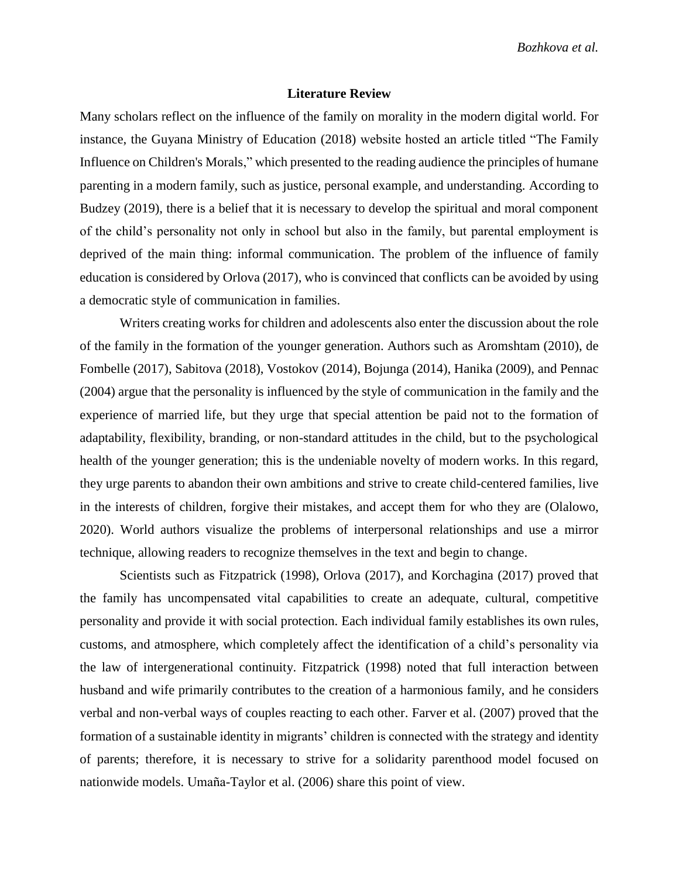*Bozhkova et al.*

## **Literature Review**

Many scholars reflect on the influence of the family on morality in the modern digital world. For instance, the Guyana Ministry of Education (2018) website hosted an article titled "The Family Influence on Children's Morals," which presented to the reading audience the principles of humane parenting in a modern family, such as justice, personal example, and understanding. According to Budzey (2019), there is a belief that it is necessary to develop the spiritual and moral component of the child's personality not only in school but also in the family, but parental employment is deprived of the main thing: informal communication. The problem of the influence of family education is considered by Orlova (2017), who is convinced that conflicts can be avoided by using a democratic style of communication in families.

Writers creating works for children and adolescents also enter the discussion about the role of the family in the formation of the younger generation. Authors such as Aromshtam (2010), de Fombelle (2017), Sabitova (2018), Vostokov (2014), Bojunga (2014), Hanika (2009), and Pennac (2004) argue that the personality is influenced by the style of communication in the family and the experience of married life, but they urge that special attention be paid not to the formation of adaptability, flexibility, branding, or non-standard attitudes in the child, but to the psychological health of the younger generation; this is the undeniable novelty of modern works. In this regard, they urge parents to abandon their own ambitions and strive to create child-centered families, live in the interests of children, forgive their mistakes, and accept them for who they are (Olalowo, 2020). World authors visualize the problems of interpersonal relationships and use a mirror technique, allowing readers to recognize themselves in the text and begin to change.

Scientists such as Fitzpatrick (1998), Orlova (2017), and Korchagina (2017) proved that the family has uncompensated vital capabilities to create an adequate, cultural, competitive personality and provide it with social protection. Each individual family establishes its own rules, customs, and atmosphere, which completely affect the identification of a child's personality via the law of intergenerational continuity. Fitzpatrick (1998) noted that full interaction between husband and wife primarily contributes to the creation of a harmonious family, and he considers verbal and non-verbal ways of couples reacting to each other. Farver et al. (2007) proved that the formation of a sustainable identity in migrants' children is connected with the strategy and identity of parents; therefore, it is necessary to strive for a solidarity parenthood model focused on nationwide models. Umaña-Taylor et al. (2006) share this point of view.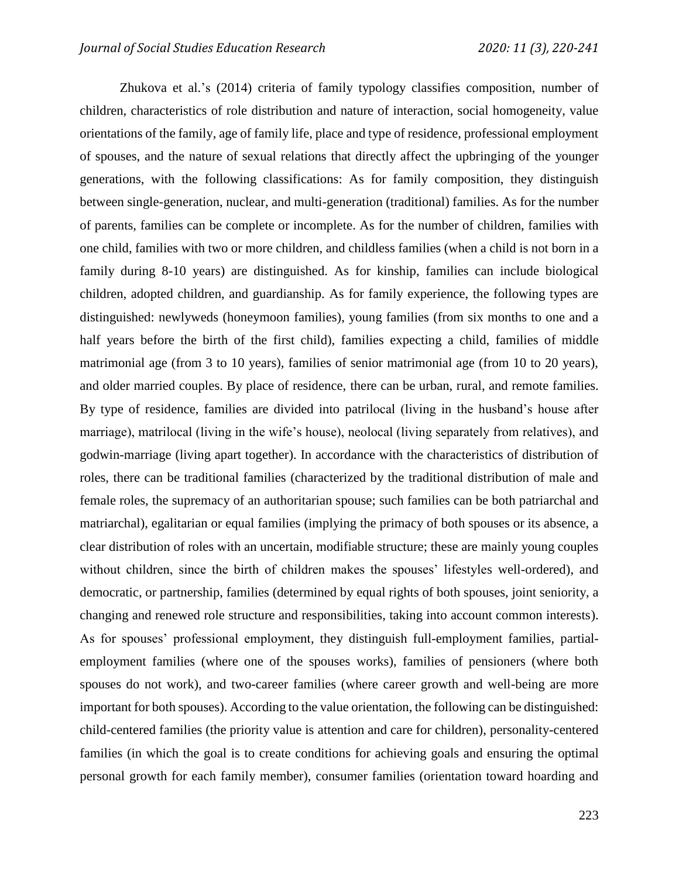Zhukova et al.'s (2014) criteria of family typology classifies composition, number of children, characteristics of role distribution and nature of interaction, social homogeneity, value orientations of the family, age of family life, place and type of residence, professional employment of spouses, and the nature of sexual relations that directly affect the upbringing of the younger generations, with the following classifications: As for family composition, they distinguish between single-generation, nuclear, and multi-generation (traditional) families. As for the number of parents, families can be complete or incomplete. As for the number of children, families with one child, families with two or more children, and childless families (when a child is not born in a family during 8-10 years) are distinguished. As for kinship, families can include biological children, adopted children, and guardianship. As for family experience, the following types are distinguished: newlyweds (honeymoon families), young families (from six months to one and a half years before the birth of the first child), families expecting a child, families of middle matrimonial age (from 3 to 10 years), families of senior matrimonial age (from 10 to 20 years), and older married couples. By place of residence, there can be urban, rural, and remote families. By type of residence, families are divided into patrilocal (living in the husband's house after marriage), matrilocal (living in the wife's house), neolocal (living separately from relatives), and godwin-marriage (living apart together). In accordance with the characteristics of distribution of roles, there can be traditional families (characterized by the traditional distribution of male and female roles, the supremacy of an authoritarian spouse; such families can be both patriarchal and matriarchal), egalitarian or equal families (implying the primacy of both spouses or its absence, a clear distribution of roles with an uncertain, modifiable structure; these are mainly young couples without children, since the birth of children makes the spouses' lifestyles well-ordered), and democratic, or partnership, families (determined by equal rights of both spouses, joint seniority, a changing and renewed role structure and responsibilities, taking into account common interests). As for spouses' professional employment, they distinguish full-employment families, partialemployment families (where one of the spouses works), families of pensioners (where both spouses do not work), and two-career families (where career growth and well-being are more important for both spouses). According to the value orientation, the following can be distinguished: child-centered families (the priority value is attention and care for children), personality-centered families (in which the goal is to create conditions for achieving goals and ensuring the optimal personal growth for each family member), consumer families (orientation toward hoarding and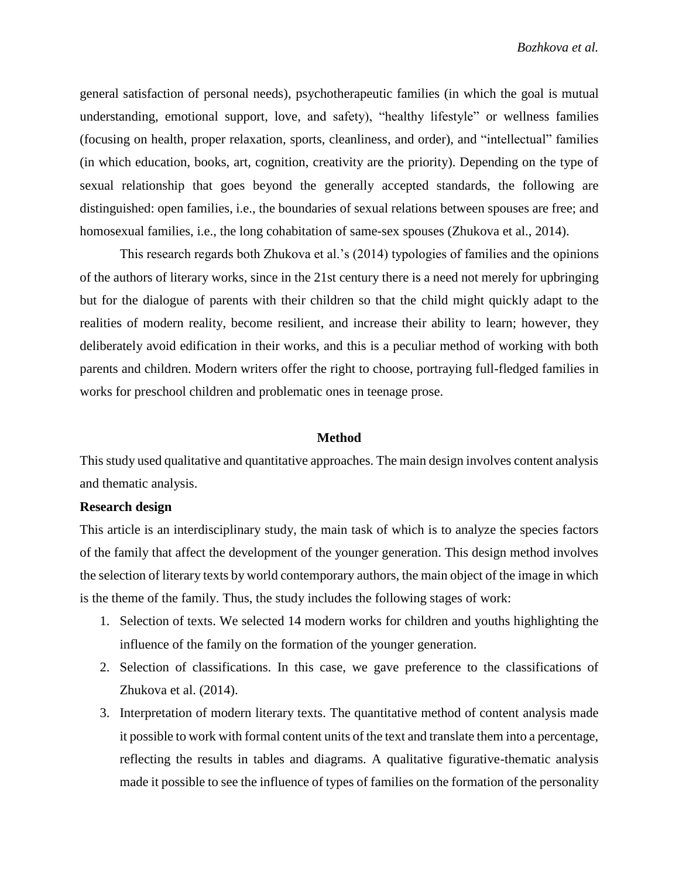general satisfaction of personal needs), psychotherapeutic families (in which the goal is mutual understanding, emotional support, love, and safety), "healthy lifestyle" or wellness families (focusing on health, proper relaxation, sports, cleanliness, and order), and "intellectual" families (in which education, books, art, cognition, creativity are the priority). Depending on the type of sexual relationship that goes beyond the generally accepted standards, the following are distinguished: open families, i.e., the boundaries of sexual relations between spouses are free; and homosexual families, i.e., the long cohabitation of same-sex spouses (Zhukova et al., 2014).

This research regards both Zhukova et al.'s (2014) typologies of families and the opinions of the authors of literary works, since in the 21st century there is a need not merely for upbringing but for the dialogue of parents with their children so that the child might quickly adapt to the realities of modern reality, become resilient, and increase their ability to learn; however, they deliberately avoid edification in their works, and this is a peculiar method of working with both parents and children. Modern writers offer the right to choose, portraying full-fledged families in works for preschool children and problematic ones in teenage prose.

#### **Method**

This study used qualitative and quantitative approaches. The main design involves content analysis and thematic analysis.

### **Research design**

This article is an interdisciplinary study, the main task of which is to analyze the species factors of the family that affect the development of the younger generation. This design method involves the selection of literary texts by world contemporary authors, the main object of the image in which is the theme of the family. Thus, the study includes the following stages of work:

- 1. Selection of texts. We selected 14 modern works for children and youths highlighting the influence of the family on the formation of the younger generation.
- 2. Selection of classifications. In this case, we gave preference to the classifications of Zhukova et al. (2014).
- 3. Interpretation of modern literary texts. The quantitative method of content analysis made it possible to work with formal content units of the text and translate them into a percentage, reflecting the results in tables and diagrams. A qualitative figurative-thematic analysis made it possible to see the influence of types of families on the formation of the personality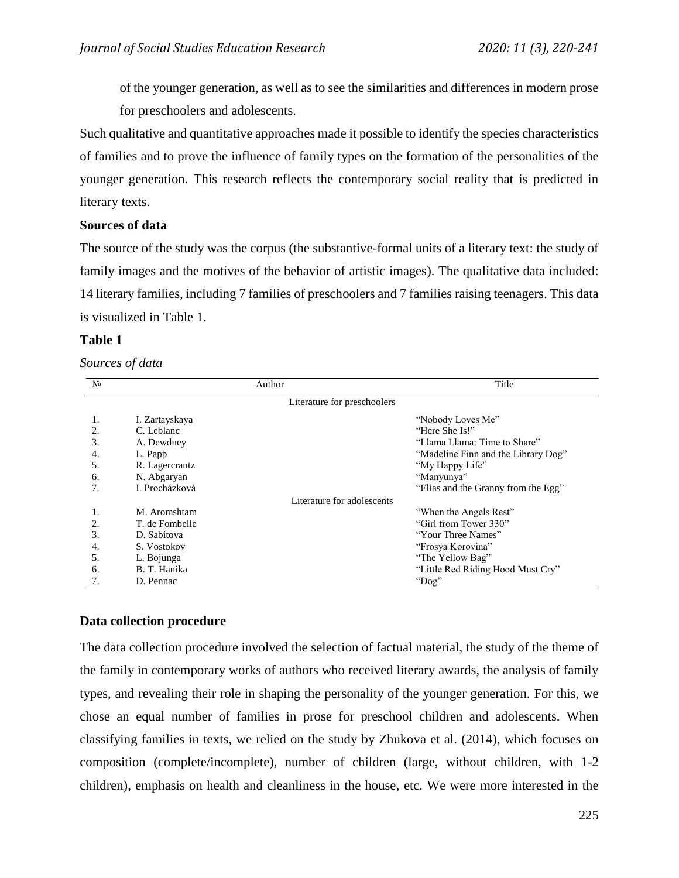of the younger generation, as well as to see the similarities and differences in modern prose for preschoolers and adolescents.

Such qualitative and quantitative approaches made it possible to identify the species characteristics of families and to prove the influence of family types on the formation of the personalities of the younger generation. This research reflects the contemporary social reality that is predicted in literary texts.

# **Sources of data**

The source of the study was the corpus (the substantive-formal units of a literary text: the study of family images and the motives of the behavior of artistic images). The qualitative data included: 14 literary families, including 7 families of preschoolers and 7 families raising teenagers. This data is visualized in Table 1.

# **Table 1**

## *Sources of data*

| $N_2$ |                | Author                      | Title                               |
|-------|----------------|-----------------------------|-------------------------------------|
|       |                | Literature for preschoolers |                                     |
| 1.    | I. Zartayskaya |                             | "Nobody Loves Me"                   |
| 2.    | C. Leblanc     |                             | "Here She Is!"                      |
| 3.    | A. Dewdney     |                             | "Llama Llama: Time to Share"        |
| 4.    | L. Papp        |                             | "Madeline Finn and the Library Dog" |
| 5.    | R. Lagercrantz |                             | "My Happy Life"                     |
| 6.    | N. Abgaryan    |                             | "Manyunya"                          |
| 7.    | I. Procházková |                             | "Elias and the Granny from the Egg" |
|       |                | Literature for adolescents  |                                     |
| 1.    | M. Aromshtam   |                             | "When the Angels Rest"              |
|       | T. de Fombelle |                             | "Girl from Tower 330"               |
| 3.    | D. Sabitova    |                             | "Your Three Names"                  |
| 4.    | S. Vostokov    |                             | "Frosya Korovina"                   |
| 5.    | L. Bojunga     |                             | "The Yellow Bag"                    |
| 6.    | B. T. Hanika   |                             | "Little Red Riding Hood Must Cry"   |
| 7.    | D. Pennac      |                             | "Dog"                               |

# **Data collection procedure**

The data collection procedure involved the selection of factual material, the study of the theme of the family in contemporary works of authors who received literary awards, the analysis of family types, and revealing their role in shaping the personality of the younger generation. For this, we chose an equal number of families in prose for preschool children and adolescents. When classifying families in texts, we relied on the study by Zhukova et al. (2014), which focuses on composition (complete/incomplete), number of children (large, without children, with 1-2 children), emphasis on health and cleanliness in the house, etc. We were more interested in the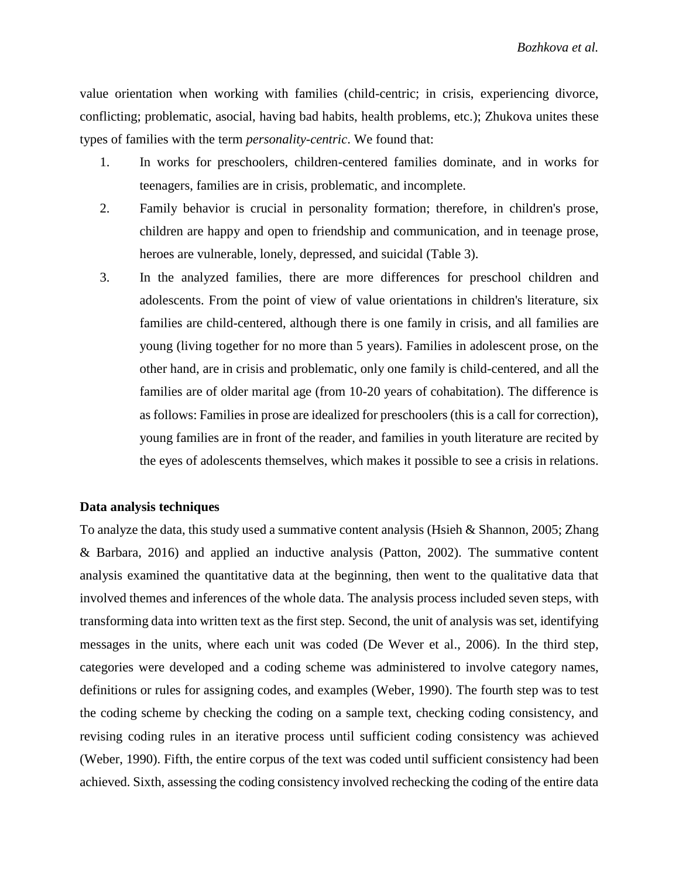value orientation when working with families (child-centric; in crisis, experiencing divorce, conflicting; problematic, asocial, having bad habits, health problems, etc.); Zhukova unites these types of families with the term *personality-centric*. We found that:

- 1. In works for preschoolers, children-centered families dominate, and in works for teenagers, families are in crisis, problematic, and incomplete.
- 2. Family behavior is crucial in personality formation; therefore, in children's prose, children are happy and open to friendship and communication, and in teenage prose, heroes are vulnerable, lonely, depressed, and suicidal (Table 3).
- 3. In the analyzed families, there are more differences for preschool children and adolescents. From the point of view of value orientations in children's literature, six families are child-centered, although there is one family in crisis, and all families are young (living together for no more than 5 years). Families in adolescent prose, on the other hand, are in crisis and problematic, only one family is child-centered, and all the families are of older marital age (from 10-20 years of cohabitation). The difference is as follows: Families in prose are idealized for preschoolers (this is a call for correction), young families are in front of the reader, and families in youth literature are recited by the eyes of adolescents themselves, which makes it possible to see a crisis in relations.

# **Data analysis techniques**

To analyze the data, this study used a summative content analysis (Hsieh & Shannon, 2005; Zhang & Barbara, 2016) and applied an inductive analysis (Patton, 2002). The summative content analysis examined the quantitative data at the beginning, then went to the qualitative data that involved themes and inferences of the whole data. The analysis process included seven steps, with transforming data into written text as the first step. Second, the unit of analysis was set, identifying messages in the units, where each unit was coded (De Wever et al., 2006). In the third step, categories were developed and a coding scheme was administered to involve category names, definitions or rules for assigning codes, and examples (Weber, 1990). The fourth step was to test the coding scheme by checking the coding on a sample text, checking coding consistency, and revising coding rules in an iterative process until sufficient coding consistency was achieved (Weber, 1990). Fifth, the entire corpus of the text was coded until sufficient consistency had been achieved. Sixth, assessing the coding consistency involved rechecking the coding of the entire data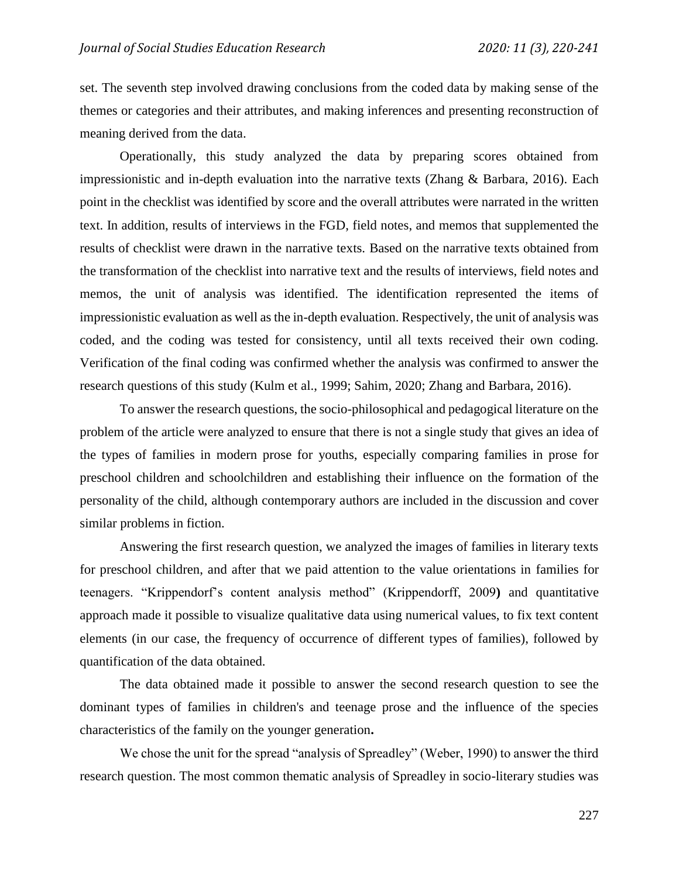set. The seventh step involved drawing conclusions from the coded data by making sense of the themes or categories and their attributes, and making inferences and presenting reconstruction of meaning derived from the data.

Operationally, this study analyzed the data by preparing scores obtained from impressionistic and in-depth evaluation into the narrative texts (Zhang & Barbara, 2016). Each point in the checklist was identified by score and the overall attributes were narrated in the written text. In addition, results of interviews in the FGD, field notes, and memos that supplemented the results of checklist were drawn in the narrative texts. Based on the narrative texts obtained from the transformation of the checklist into narrative text and the results of interviews, field notes and memos, the unit of analysis was identified. The identification represented the items of impressionistic evaluation as well as the in-depth evaluation. Respectively, the unit of analysis was coded, and the coding was tested for consistency, until all texts received their own coding. Verification of the final coding was confirmed whether the analysis was confirmed to answer the research questions of this study (Kulm et al., 1999; Sahim, 2020; Zhang and Barbara, 2016).

To answer the research questions, the socio-philosophical and pedagogical literature on the problem of the article were analyzed to ensure that there is not a single study that gives an idea of the types of families in modern prose for youths, especially comparing families in prose for preschool children and schoolchildren and establishing their influence on the formation of the personality of the child, although contemporary authors are included in the discussion and cover similar problems in fiction.

Answering the first research question, we analyzed the images of families in literary texts for preschool children, and after that we paid attention to the value orientations in families for teenagers. "Krippendorf's content analysis method" (Krippendorff, 2009**)** and quantitative approach made it possible to visualize qualitative data using numerical values, to fix text content elements (in our case, the frequency of occurrence of different types of families), followed by quantification of the data obtained.

The data obtained made it possible to answer the second research question to see the dominant types of families in children's and teenage prose and the influence of the species characteristics of the family on the younger generation**.**

We chose the unit for the spread "analysis of Spreadley" (Weber, 1990) to answer the third research question. The most common thematic analysis of Spreadley in socio-literary studies was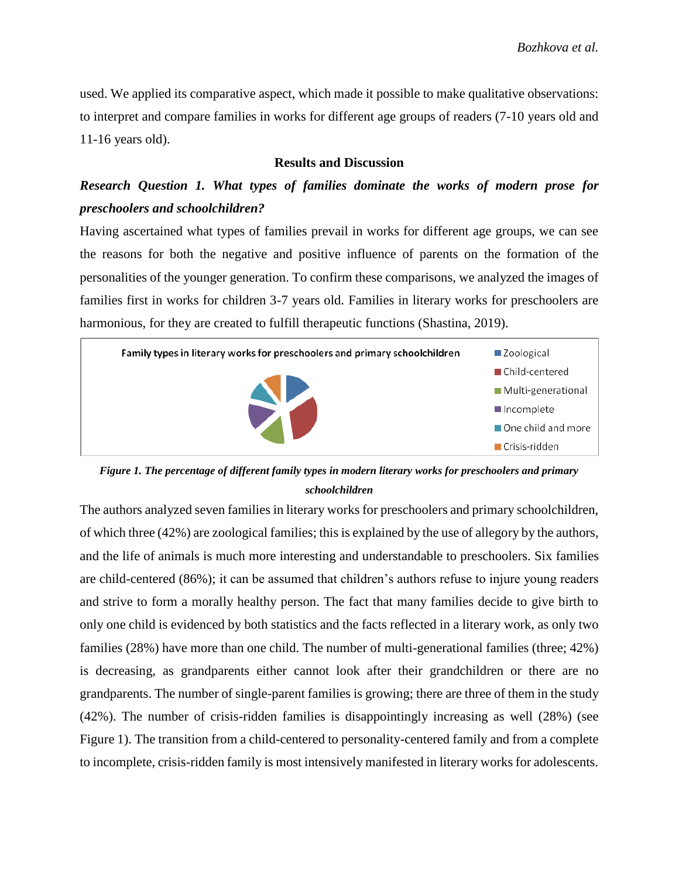used. We applied its comparative aspect, which made it possible to make qualitative observations: to interpret and compare families in works for different age groups of readers (7-10 years old and 11-16 years old).

## **Results and Discussion**

# *Research Question 1. What types of families dominate the works of modern prose for preschoolers and schoolchildren?*

Having ascertained what types of families prevail in works for different age groups, we can see the reasons for both the negative and positive influence of parents on the formation of the personalities of the younger generation. To confirm these comparisons, we analyzed the images of families first in works for children 3-7 years old. Families in literary works for preschoolers are harmonious, for they are created to fulfill therapeutic functions (Shastina, 2019).



*Figure 1. The percentage of different family types in modern literary works for preschoolers and primary schoolchildren* 

The authors analyzed seven families in literary works for preschoolers and primary schoolchildren, of which three (42%) are zoological families; this is explained by the use of allegory by the authors, and the life of animals is much more interesting and understandable to preschoolers. Six families are child-centered (86%); it can be assumed that children's authors refuse to injure young readers and strive to form a morally healthy person. The fact that many families decide to give birth to only one child is evidenced by both statistics and the facts reflected in a literary work, as only two families (28%) have more than one child. The number of multi-generational families (three; 42%) is decreasing, as grandparents either cannot look after their grandchildren or there are no grandparents. The number of single-parent families is growing; there are three of them in the study (42%). The number of crisis-ridden families is disappointingly increasing as well (28%) (see Figure 1). The transition from a child-centered to personality-centered family and from a complete to incomplete, crisis-ridden family is most intensively manifested in literary works for adolescents.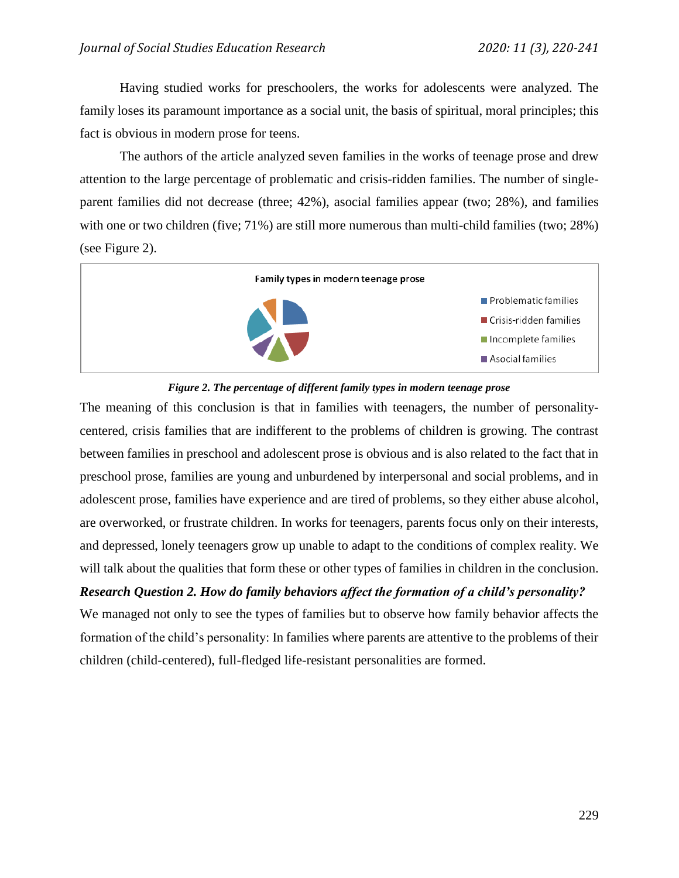Having studied works for preschoolers, the works for adolescents were analyzed. The family loses its paramount importance as a social unit, the basis of spiritual, moral principles; this fact is obvious in modern prose for teens.

The authors of the article analyzed seven families in the works of teenage prose and drew attention to the large percentage of problematic and crisis-ridden families. The number of singleparent families did not decrease (three; 42%), asocial families appear (two; 28%), and families with one or two children (five; 71%) are still more numerous than multi-child families (two; 28%) (see Figure 2).





The meaning of this conclusion is that in families with teenagers, the number of personalitycentered, crisis families that are indifferent to the problems of children is growing. The contrast between families in preschool and adolescent prose is obvious and is also related to the fact that in preschool prose, families are young and unburdened by interpersonal and social problems, and in adolescent prose, families have experience and are tired of problems, so they either abuse alcohol, are overworked, or frustrate children. In works for teenagers, parents focus only on their interests, and depressed, lonely teenagers grow up unable to adapt to the conditions of complex reality. We will talk about the qualities that form these or other types of families in children in the conclusion.

# *Research Question 2. How do family behaviors affect the formation of a child's personality?*

We managed not only to see the types of families but to observe how family behavior affects the formation of the child's personality: In families where parents are attentive to the problems of their children (child-centered), full-fledged life-resistant personalities are formed.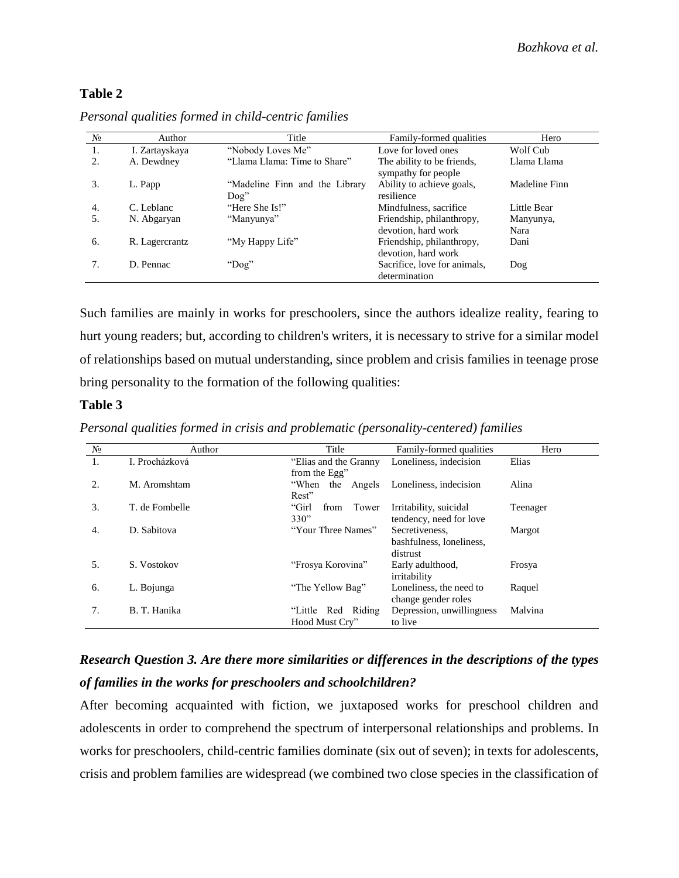# **Table 2**

| $N_2$ | Author         | Title                                   | Family-formed qualities                           | Hero          |
|-------|----------------|-----------------------------------------|---------------------------------------------------|---------------|
|       | I. Zartayskaya | "Nobody Loves Me"                       | Love for loved ones                               | Wolf Cub      |
| 2.    | A. Dewdney     | "Llama Llama: Time to Share"            | The ability to be friends,<br>sympathy for people | Llama Llama   |
| 3.    | L. Papp        | "Madeline Finn and the Library<br>Doq'' | Ability to achieve goals,<br>resilience           | Madeline Finn |
| 4.    | C. Leblanc     | "Here She Is!"                          | Mindfulness, sacrifice                            | Little Bear   |
| 5.    | N. Abgaryan    | "Manyunya"                              | Friendship, philanthropy,                         | Manyunya,     |
|       |                |                                         | devotion, hard work                               | Nara          |
| 6.    | R. Lagercrantz | "My Happy Life"                         | Friendship, philanthropy,                         | Dani          |
|       |                |                                         | devotion, hard work                               |               |
|       | D. Pennac      | "Dog"                                   | Sacrifice, love for animals,                      | Dog           |
|       |                |                                         | determination                                     |               |

*Personal qualities formed in child-centric families*

Such families are mainly in works for preschoolers, since the authors idealize reality, fearing to hurt young readers; but, according to children's writers, it is necessary to strive for a similar model of relationships based on mutual understanding, since problem and crisis families in teenage prose bring personality to the formation of the following qualities:

# **Table 3**

*Personal qualities formed in crisis and problematic (personality-centered) families*

| $N_2$ | Author         | Title                                            | Family-formed qualities                                | Hero     |
|-------|----------------|--------------------------------------------------|--------------------------------------------------------|----------|
| 1.    | I. Procházková | "Elias and the Granny"                           | Loneliness, indecision                                 | Elias    |
| 2.    | M. Aromshtam   | from the Egg"<br>"When<br>the<br>Angels<br>Rest" | Loneliness, indecision                                 | Alina    |
| 3.    | T. de Fombelle | "Girl<br>from<br>Tower<br>330"                   | Irritability, suicidal<br>tendency, need for love      | Teenager |
| 4.    | D. Sabitova    | "Your Three Names"                               | Secretiveness.<br>bashfulness, loneliness,<br>distrust | Margot   |
| 5.    | S. Vostokov    | "Frosya Korovina"                                | Early adulthood,<br>irritability                       | Frosya   |
| 6.    | L. Bojunga     | "The Yellow Bag"                                 | Loneliness, the need to<br>change gender roles         | Raquel   |
| 7.    | B. T. Hanika   | "Little Red Riding"<br>Hood Must Cry"            | Depression, unwillingness<br>to live                   | Malvina  |

# *Research Question 3. Are there more similarities or differences in the descriptions of the types of families in the works for preschoolers and schoolchildren?*

After becoming acquainted with fiction, we juxtaposed works for preschool children and adolescents in order to comprehend the spectrum of interpersonal relationships and problems. In works for preschoolers, child-centric families dominate (six out of seven); in texts for adolescents, crisis and problem families are widespread (we combined two close species in the classification of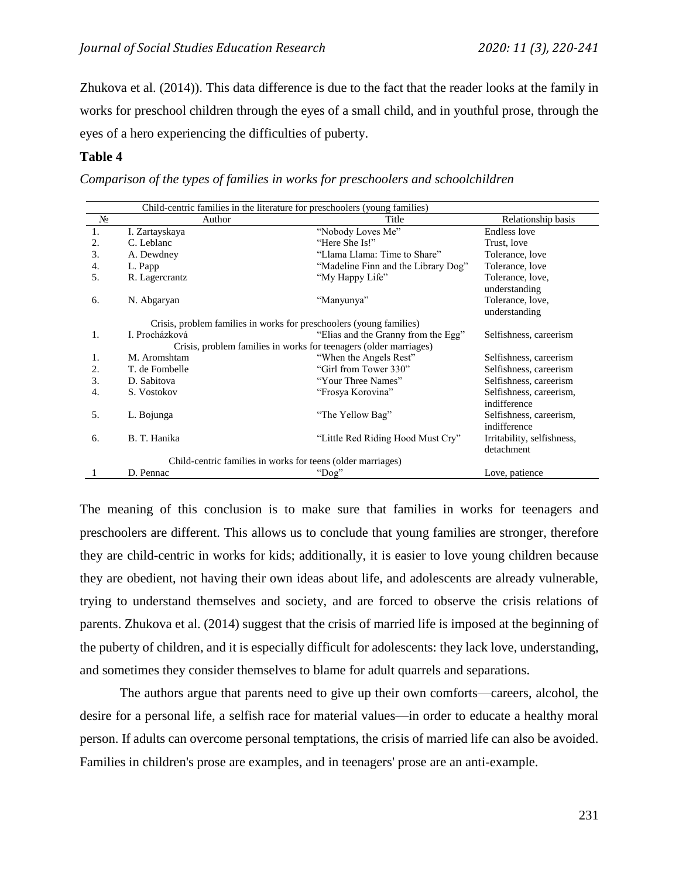Zhukova et al. (2014)). This data difference is due to the fact that the reader looks at the family in works for preschool children through the eyes of a small child, and in youthful prose, through the eyes of a hero experiencing the difficulties of puberty.

## **Table 4**

*Comparison of the types of families in works for preschoolers and schoolchildren*

| Child-centric families in the literature for preschoolers (young families) |                                                                     |                                     |                                          |  |  |
|----------------------------------------------------------------------------|---------------------------------------------------------------------|-------------------------------------|------------------------------------------|--|--|
| $N_2$                                                                      | Author                                                              | Title                               | Relationship basis                       |  |  |
| 1.                                                                         | I. Zartayskaya                                                      | "Nobody Loves Me"                   | Endless love                             |  |  |
| 2.                                                                         | C. Leblanc                                                          | "Here She Is!"                      | Trust, love                              |  |  |
| 3.                                                                         | A. Dewdney                                                          | "Llama Llama: Time to Share"        | Tolerance, love                          |  |  |
| 4.                                                                         | L. Papp                                                             | "Madeline Finn and the Library Dog" | Tolerance, love                          |  |  |
| 5.                                                                         | R. Lagercrantz                                                      | "My Happy Life"                     | Tolerance, love,<br>understanding        |  |  |
| 6.                                                                         | N. Abgaryan                                                         | "Manyunya"                          | Tolerance, love,<br>understanding        |  |  |
|                                                                            | Crisis, problem families in works for preschoolers (young families) |                                     |                                          |  |  |
| 1.                                                                         | I. Procházková                                                      | "Elias and the Granny from the Egg" | Selfishness, careerism                   |  |  |
|                                                                            | Crisis, problem families in works for teenagers (older marriages)   |                                     |                                          |  |  |
| 1.                                                                         | M. Aromshtam                                                        | "When the Angels Rest"              | Selfishness, careerism                   |  |  |
| 2.                                                                         | T. de Fombelle                                                      | "Girl from Tower 330"               | Selfishness, careerism                   |  |  |
| 3.                                                                         | D. Sabitova                                                         | "Your Three Names"                  | Selfishness, careerism                   |  |  |
| 4.                                                                         | S. Vostokov                                                         | "Frosya Korovina"                   | Selfishness, careerism,<br>indifference  |  |  |
| 5.                                                                         | L. Bojunga                                                          | "The Yellow Bag"                    | Selfishness, careerism,<br>indifference  |  |  |
| 6.                                                                         | B. T. Hanika                                                        | "Little Red Riding Hood Must Cry"   | Irritability, selfishness,<br>detachment |  |  |
| Child-centric families in works for teens (older marriages)                |                                                                     |                                     |                                          |  |  |
|                                                                            | D. Pennac                                                           | "Dog"                               | Love, patience                           |  |  |

The meaning of this conclusion is to make sure that families in works for teenagers and preschoolers are different. This allows us to conclude that young families are stronger, therefore they are child-centric in works for kids; additionally, it is easier to love young children because they are obedient, not having their own ideas about life, and adolescents are already vulnerable, trying to understand themselves and society, and are forced to observe the crisis relations of parents. Zhukova et al. (2014) suggest that the crisis of married life is imposed at the beginning of the puberty of children, and it is especially difficult for adolescents: they lack love, understanding, and sometimes they consider themselves to blame for adult quarrels and separations.

The authors argue that parents need to give up their own comforts—careers, alcohol, the desire for a personal life, a selfish race for material values—in order to educate a healthy moral person. If adults can overcome personal temptations, the crisis of married life can also be avoided. Families in children's prose are examples, and in teenagers' prose are an anti-example.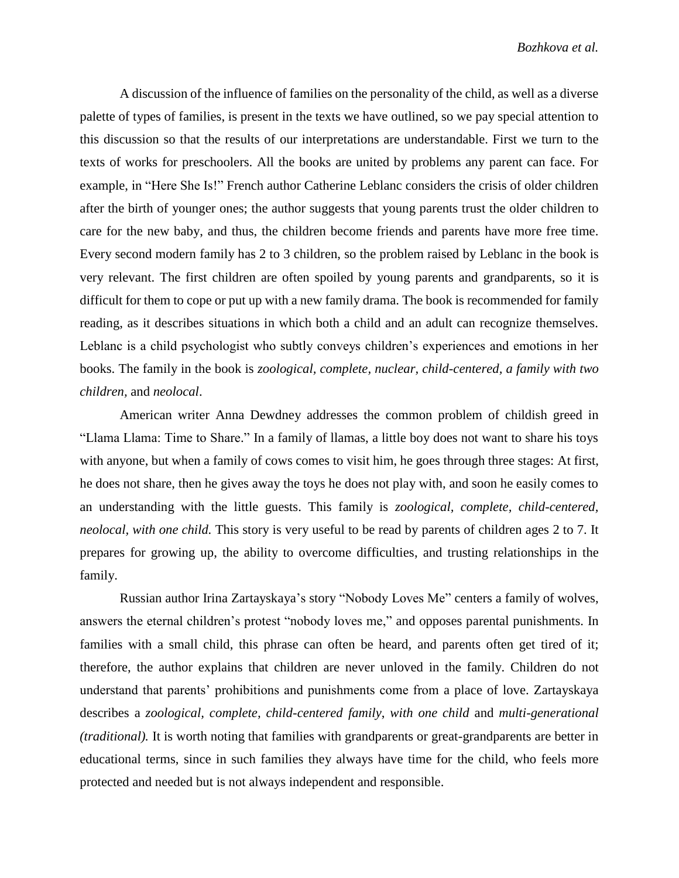A discussion of the influence of families on the personality of the child, as well as a diverse palette of types of families, is present in the texts we have outlined, so we pay special attention to this discussion so that the results of our interpretations are understandable. First we turn to the texts of works for preschoolers. All the books are united by problems any parent can face. For example, in "Here She Is!" French author Catherine Leblanc considers the crisis of older children after the birth of younger ones; the author suggests that young parents trust the older children to care for the new baby, and thus, the children become friends and parents have more free time. Every second modern family has 2 to 3 children, so the problem raised by Leblanc in the book is very relevant. The first children are often spoiled by young parents and grandparents, so it is difficult for them to cope or put up with a new family drama. The book is recommended for family reading, as it describes situations in which both a child and an adult can recognize themselves. Leblanc is a child psychologist who subtly conveys children's experiences and emotions in her books. The family in the book is *zoological, complete, nuclear, child-centered, a family with two children,* and *neolocal*.

American writer Anna Dewdney addresses the common problem of childish greed in "Llama Llama: Time to Share." In a family of llamas, a little boy does not want to share his toys with anyone, but when a family of cows comes to visit him, he goes through three stages: At first, he does not share, then he gives away the toys he does not play with, and soon he easily comes to an understanding with the little guests. This family is *zoological, complete, child-centered, neolocal, with one child.* This story is very useful to be read by parents of children ages 2 to 7. It prepares for growing up, the ability to overcome difficulties, and trusting relationships in the family.

Russian author Irina Zartayskaya's story "Nobody Loves Me" centers a family of wolves, answers the eternal children's protest "nobody loves me," and opposes parental punishments. In families with a small child, this phrase can often be heard, and parents often get tired of it; therefore, the author explains that children are never unloved in the family. Children do not understand that parents' prohibitions and punishments come from a place of love. Zartayskaya describes a *zoological, complete, child-centered family*, *with one child* and *multi-generational (traditional).* It is worth noting that families with grandparents or great-grandparents are better in educational terms, since in such families they always have time for the child, who feels more protected and needed but is not always independent and responsible.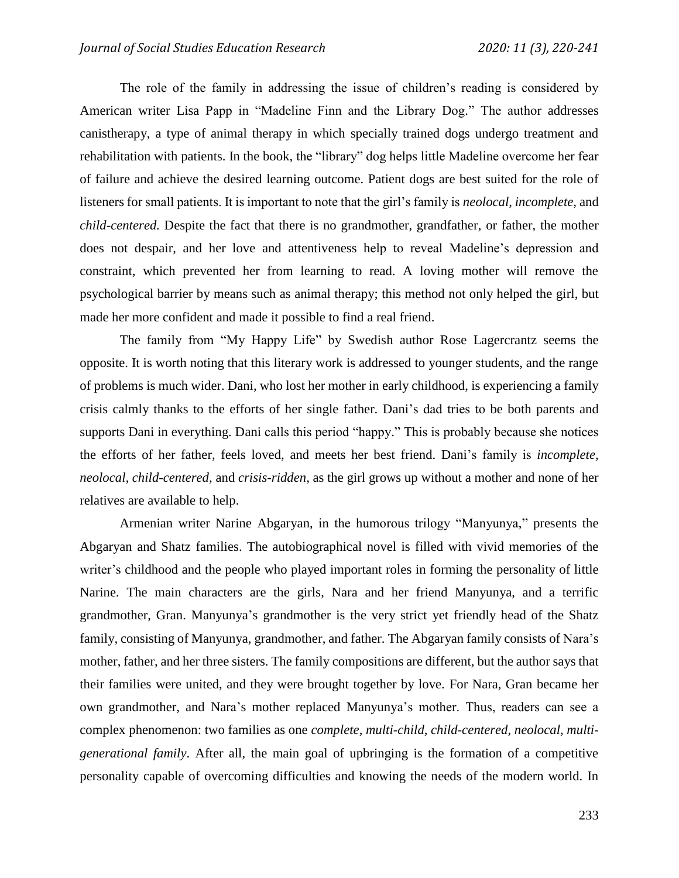The role of the family in addressing the issue of children's reading is considered by American writer Lisa Papp in "Madeline Finn and the Library Dog." The author addresses canistherapy, a type of animal therapy in which specially trained dogs undergo treatment and rehabilitation with patients. In the book, the "library" dog helps little Madeline overcome her fear of failure and achieve the desired learning outcome. Patient dogs are best suited for the role of listeners for small patients. It is important to note that the girl's family is *neolocal, incomplete,* and *child-centered.* Despite the fact that there is no grandmother, grandfather, or father, the mother does not despair, and her love and attentiveness help to reveal Madeline's depression and constraint, which prevented her from learning to read. A loving mother will remove the psychological barrier by means such as animal therapy; this method not only helped the girl, but made her more confident and made it possible to find a real friend.

The family from "My Happy Life" by Swedish author Rose Lagercrantz seems the opposite. It is worth noting that this literary work is addressed to younger students, and the range of problems is much wider. Dani, who lost her mother in early childhood, is experiencing a family crisis calmly thanks to the efforts of her single father. Dani's dad tries to be both parents and supports Dani in everything. Dani calls this period "happy." This is probably because she notices the efforts of her father, feels loved, and meets her best friend. Dani's family is *incomplete, neolocal, child-centered,* and *crisis-ridden,* as the girl grows up without a mother and none of her relatives are available to help.

Armenian writer Narine Abgaryan, in the humorous trilogy "Manyunya," presents the Abgaryan and Shatz families. The autobiographical novel is filled with vivid memories of the writer's childhood and the people who played important roles in forming the personality of little Narine. The main characters are the girls, Nara and her friend Manyunya, and a terrific grandmother, Gran. Manyunya's grandmother is the very strict yet friendly head of the Shatz family, consisting of Manyunya, grandmother, and father. The Abgaryan family consists of Nara's mother, father, and her three sisters. The family compositions are different, but the author says that their families were united, and they were brought together by love. For Nara, Gran became her own grandmother, and Nara's mother replaced Manyunya's mother. Thus, readers can see a complex phenomenon: two families as one *complete, multi-child, child-centered, neolocal, multigenerational family*. After all, the main goal of upbringing is the formation of a competitive personality capable of overcoming difficulties and knowing the needs of the modern world. In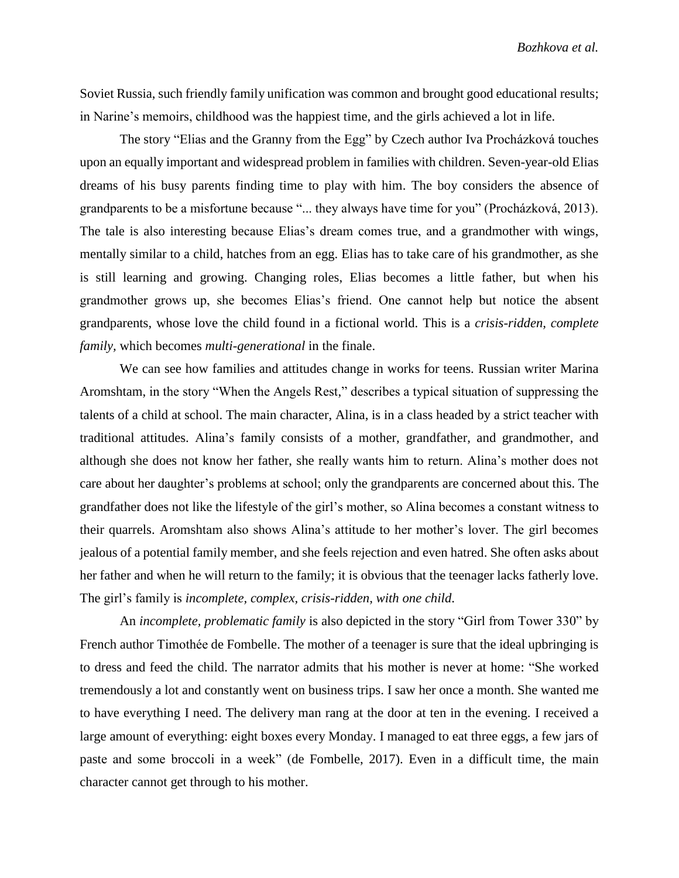Soviet Russia, such friendly family unification was common and brought good educational results; in Narine's memoirs, childhood was the happiest time, and the girls achieved a lot in life.

The story "Elias and the Granny from the Egg" by Czech author Iva Procházková touches upon an equally important and widespread problem in families with children. Seven-year-old Elias dreams of his busy parents finding time to play with him. The boy considers the absence of grandparents to be a misfortune because "... they always have time for you" (Procházková, 2013). The tale is also interesting because Elias's dream comes true, and a grandmother with wings, mentally similar to a child, hatches from an egg. Elias has to take care of his grandmother, as she is still learning and growing. Changing roles, Elias becomes a little father, but when his grandmother grows up, she becomes Elias's friend. One cannot help but notice the absent grandparents, whose love the child found in a fictional world. This is a *crisis-ridden, complete family, which becomes multi-generational in the finale.* 

We can see how families and attitudes change in works for teens. Russian writer Marina Aromshtam, in the story "When the Angels Rest," describes a typical situation of suppressing the talents of a child at school. The main character, Alina, is in a class headed by a strict teacher with traditional attitudes. Alina's family consists of a mother, grandfather, and grandmother, and although she does not know her father, she really wants him to return. Alina's mother does not care about her daughter's problems at school; only the grandparents are concerned about this. The grandfather does not like the lifestyle of the girl's mother, so Alina becomes a constant witness to their quarrels. Aromshtam also shows Alina's attitude to her mother's lover. The girl becomes jealous of a potential family member, and she feels rejection and even hatred. She often asks about her father and when he will return to the family; it is obvious that the teenager lacks fatherly love. The girl's family is *incomplete, complex, crisis-ridden, with one child*.

An *incomplete, problematic family* is also depicted in the story "Girl from Tower 330" by French author Timothée de Fombelle. The mother of a teenager is sure that the ideal upbringing is to dress and feed the child. The narrator admits that his mother is never at home: "She worked tremendously a lot and constantly went on business trips. I saw her once a month. She wanted me to have everything I need. The delivery man rang at the door at ten in the evening. I received a large amount of everything: eight boxes every Monday. I managed to eat three eggs, a few jars of paste and some broccoli in a week" (de Fombelle, 2017). Even in a difficult time, the main character cannot get through to his mother.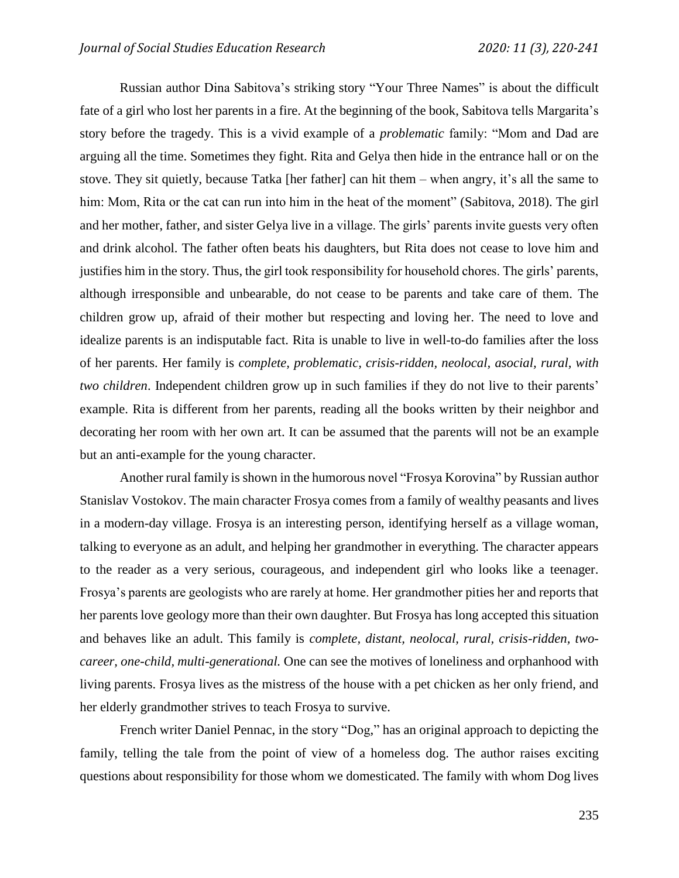Russian author Dina Sabitova's striking story "Your Three Names" is about the difficult fate of a girl who lost her parents in a fire. At the beginning of the book, Sabitova tells Margarita's story before the tragedy. This is a vivid example of a *problematic* family: "Mom and Dad are arguing all the time. Sometimes they fight. Rita and Gelya then hide in the entrance hall or on the stove. They sit quietly, because Tatka [her father] can hit them – when angry, it's all the same to him: Mom, Rita or the cat can run into him in the heat of the moment" (Sabitova, 2018). The girl and her mother, father, and sister Gelya live in a village. The girls' parents invite guests very often and drink alcohol. The father often beats his daughters, but Rita does not cease to love him and justifies him in the story. Thus, the girl took responsibility for household chores. The girls' parents, although irresponsible and unbearable, do not cease to be parents and take care of them. The children grow up, afraid of their mother but respecting and loving her. The need to love and idealize parents is an indisputable fact. Rita is unable to live in well-to-do families after the loss of her parents. Her family is *complete, problematic, crisis-ridden, neolocal, asocial, rural, with two children*. Independent children grow up in such families if they do not live to their parents' example. Rita is different from her parents, reading all the books written by their neighbor and decorating her room with her own art. It can be assumed that the parents will not be an example but an anti-example for the young character.

Another rural family is shown in the humorous novel "Frosya Korovina" by Russian author Stanislav Vostokov. The main character Frosya comes from a family of wealthy peasants and lives in a modern-day village. Frosya is an interesting person, identifying herself as a village woman, talking to everyone as an adult, and helping her grandmother in everything. The character appears to the reader as a very serious, courageous, and independent girl who looks like a teenager. Frosya's parents are geologists who are rarely at home. Her grandmother pities her and reports that her parents love geology more than their own daughter. But Frosya has long accepted this situation and behaves like an adult. This family is *complete, distant, neolocal, rural, crisis-ridden, twocareer, one-child, multi-generational.* One can see the motives of loneliness and orphanhood with living parents. Frosya lives as the mistress of the house with a pet chicken as her only friend, and her elderly grandmother strives to teach Frosya to survive.

French writer Daniel Pennac, in the story "Dog," has an original approach to depicting the family, telling the tale from the point of view of a homeless dog. The author raises exciting questions about responsibility for those whom we domesticated. The family with whom Dog lives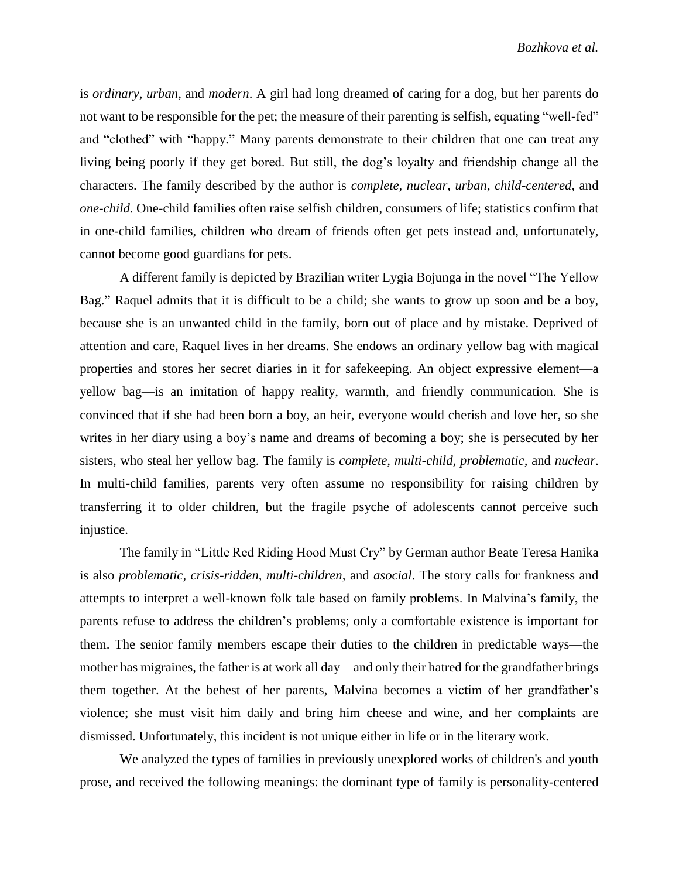is *ordinary, urban,* and *modern*. A girl had long dreamed of caring for a dog, but her parents do not want to be responsible for the pet; the measure of their parenting is selfish, equating "well-fed" and "clothed" with "happy." Many parents demonstrate to their children that one can treat any living being poorly if they get bored. But still, the dog's loyalty and friendship change all the characters. The family described by the author is *complete, nuclear, urban, child-centered,* and *one-child.* One-child families often raise selfish children, consumers of life; statistics confirm that in one-child families, children who dream of friends often get pets instead and, unfortunately, cannot become good guardians for pets.

A different family is depicted by Brazilian writer Lygia Bojunga in the novel "The Yellow Bag." Raquel admits that it is difficult to be a child; she wants to grow up soon and be a boy, because she is an unwanted child in the family, born out of place and by mistake. Deprived of attention and care, Raquel lives in her dreams. She endows an ordinary yellow bag with magical properties and stores her secret diaries in it for safekeeping. An object expressive element—a yellow bag—is an imitation of happy reality, warmth, and friendly communication. She is convinced that if she had been born a boy, an heir, everyone would cherish and love her, so she writes in her diary using a boy's name and dreams of becoming a boy; she is persecuted by her sisters, who steal her yellow bag. The family is *complete, multi-child, problematic,* and *nuclear*. In multi-child families, parents very often assume no responsibility for raising children by transferring it to older children, but the fragile psyche of adolescents cannot perceive such injustice.

The family in "Little Red Riding Hood Must Cry" by German author Beate Teresa Hanika is also *problematic, crisis-ridden, multi-children,* and *asocial*. The story calls for frankness and attempts to interpret a well-known folk tale based on family problems. In Malvina's family, the parents refuse to address the children's problems; only a comfortable existence is important for them. The senior family members escape their duties to the children in predictable ways—the mother has migraines, the father is at work all day—and only their hatred for the grandfather brings them together. At the behest of her parents, Malvina becomes a victim of her grandfather's violence; she must visit him daily and bring him cheese and wine, and her complaints are dismissed. Unfortunately, this incident is not unique either in life or in the literary work.

We analyzed the types of families in previously unexplored works of children's and youth prose, and received the following meanings: the dominant type of family is personality-centered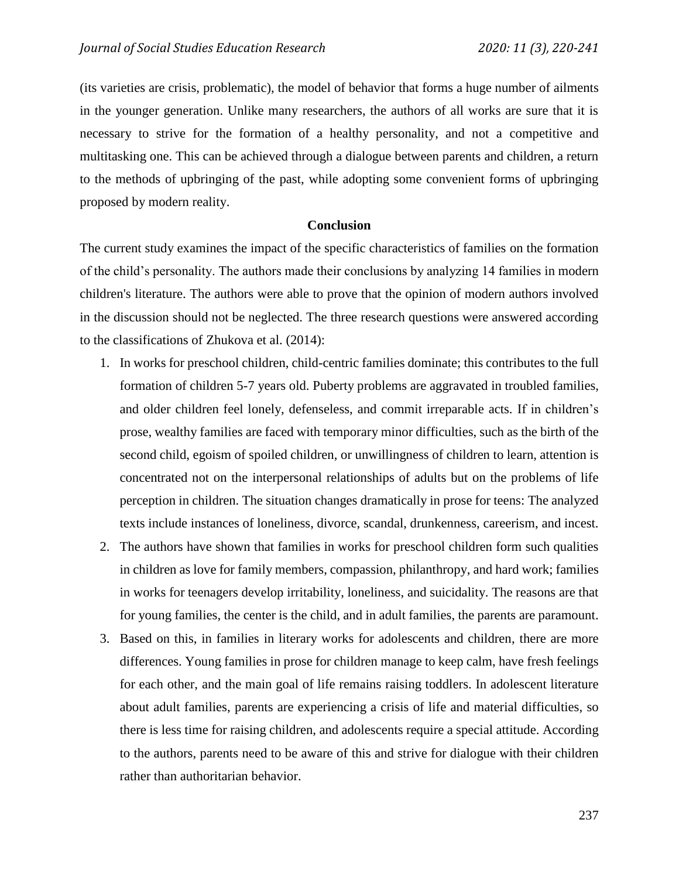(its varieties are crisis, problematic), the model of behavior that forms a huge number of ailments in the younger generation. Unlike many researchers, the authors of all works are sure that it is necessary to strive for the formation of a healthy personality, and not a competitive and multitasking one. This can be achieved through a dialogue between parents and children, a return to the methods of upbringing of the past, while adopting some convenient forms of upbringing proposed by modern reality.

# **Conclusion**

The current study examines the impact of the specific characteristics of families on the formation of the child's personality. The authors made their conclusions by analyzing 14 families in modern children's literature. The authors were able to prove that the opinion of modern authors involved in the discussion should not be neglected. The three research questions were answered according to the classifications of Zhukova et al. (2014):

- 1. In works for preschool children, child-centric families dominate; this contributes to the full formation of children 5-7 years old. Puberty problems are aggravated in troubled families, and older children feel lonely, defenseless, and commit irreparable acts. If in children's prose, wealthy families are faced with temporary minor difficulties, such as the birth of the second child, egoism of spoiled children, or unwillingness of children to learn, attention is concentrated not on the interpersonal relationships of adults but on the problems of life perception in children. The situation changes dramatically in prose for teens: The analyzed texts include instances of loneliness, divorce, scandal, drunkenness, careerism, and incest.
- 2. The authors have shown that families in works for preschool children form such qualities in children as love for family members, compassion, philanthropy, and hard work; families in works for teenagers develop irritability, loneliness, and suicidality. The reasons are that for young families, the center is the child, and in adult families, the parents are paramount.
- 3. Based on this, in families in literary works for adolescents and children, there are more differences. Young families in prose for children manage to keep calm, have fresh feelings for each other, and the main goal of life remains raising toddlers. In adolescent literature about adult families, parents are experiencing a crisis of life and material difficulties, so there is less time for raising children, and adolescents require a special attitude. According to the authors, parents need to be aware of this and strive for dialogue with their children rather than authoritarian behavior.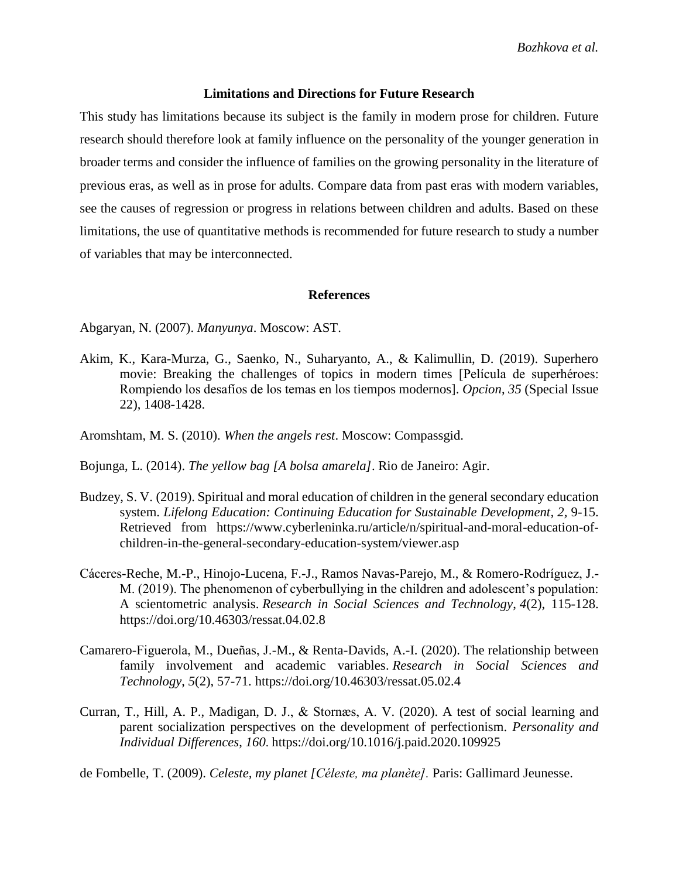### **Limitations and Directions for Future Research**

This study has limitations because its subject is the family in modern prose for children. Future research should therefore look at family influence on the personality of the younger generation in broader terms and consider the influence of families on the growing personality in the literature of previous eras, as well as in prose for adults. Compare data from past eras with modern variables, see the causes of regression or progress in relations between children and adults. Based on these limitations, the use of quantitative methods is recommended for future research to study a number of variables that may be interconnected.

### **References**

Abgaryan, N. (2007). *Manyunya*. Moscow: AST.

Akim, K., Kara-Murza, G., Saenko, N., Suharyanto, A., & Kalimullin, D. (2019). Superhero movie: Breaking the challenges of topics in modern times [Película de superhéroes: Rompiendo los desafíos de los temas en los tiempos modernos]. *Opcion*, *35* (Special Issue 22), 1408-1428.

Aromshtam, M. S. (2010). *When the angels rest*. Moscow: Compassgid.

Bojunga, L. (2014). *The yellow bag [A bolsa amarela]*. Rio de Janeiro: Agir.

- Budzey, S. V. (2019). Spiritual and moral education of children in the general secondary education system. *Lifelong Education: Continuing Education for Sustainable Development, 2, 9-15.* Retrieved from [https://www.cyberleninka.ru/article/n/spiritual-and-moral-education-of](https://www.cyberleninka.ru/article/n/spiritual-and-moral-education-of-children-in-the-general-secondary-education-system/viewer)[children-in-the-general-secondary-education-system/viewer.](https://www.cyberleninka.ru/article/n/spiritual-and-moral-education-of-children-in-the-general-secondary-education-system/viewer)asp
- Cáceres-Reche, M.-P., Hinojo-Lucena, F.-J., Ramos Navas-Parejo, M., & Romero-Rodríguez, J.- M. (2019). The phenomenon of cyberbullying in the children and adolescent's population: A scientometric analysis. *Research in Social Sciences and Technology*, *4*(2), 115-128. <https://doi.org/10.46303/ressat.04.02.8>
- Camarero-Figuerola, M., Dueñas, J.-M., & Renta-Davids, A.-I. (2020). The relationship between family involvement and academic variables. *Research in Social Sciences and Technology*, *5*(2), 57-71.<https://doi.org/10.46303/ressat.05.02.4>
- Curran, T., Hill, A. P., Madigan, D. J., & Stornæs, A. V. (2020). A test of social learning and parent socialization perspectives on the development of perfectionism. *Personality and Individual Differences*, *160*. <https://doi.org/10.1016/j.paid.2020.109925>

de Fombelle, T. (2009). *Celeste, my planet [Céleste, ma planète].* Paris: Gallimard Jeunesse.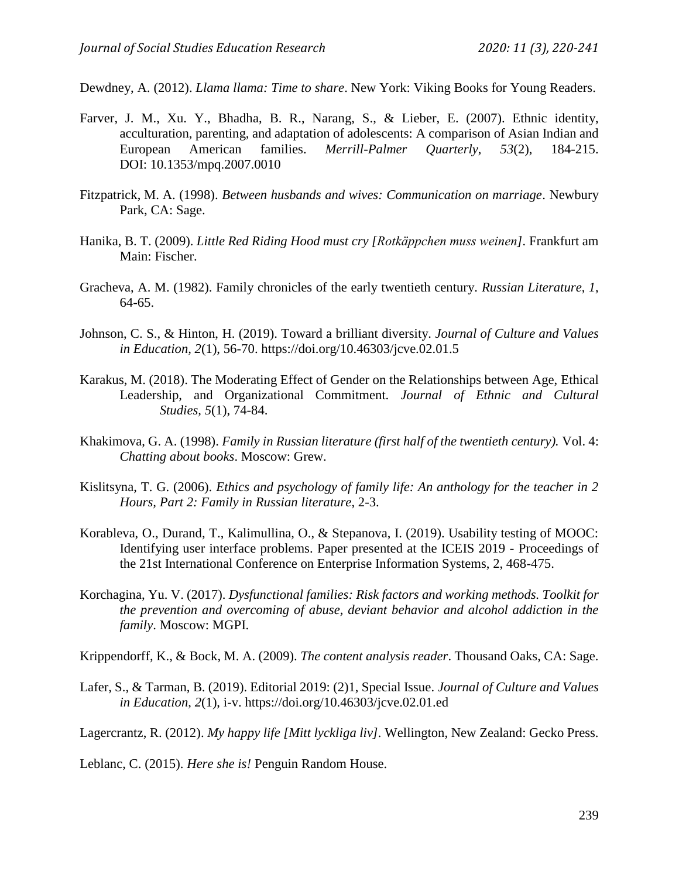Dewdney, A. (2012). *Llama llama: Time to share*. New York: Viking Books for Young Readers.

- Farver, J. M., Xu. Y., Bhadha, B. R., Narang, S., & Lieber, E. (2007). Ethnic identity, acculturation, parenting, and adaptation of adolescents: A comparison of Asian Indian and European American families. *Merrill-Palmer Quarterly*, *53*(2), 184-215. DOI: [10.1353/mpq.2007.0010](https://www.researchgate.net/deref/http%3A%2F%2Fdx.doi.org%2F10.1353%2Fmpq.2007.0010)
- Fitzpatrick, M. A. (1998). *Between husbands and wives: Communication on marriage*. Newbury Park, CA: Sage.
- Hanika, B. T. (2009). *Little Red Riding Hood must cry [Rotkäppchen muss weinen].* Frankfurt am Main: Fischer.
- Gracheva, A. M. (1982). Family chronicles of the early twentieth century. *Russian Literature*, *1*, 64-65.
- Johnson, C. S., & Hinton, H. (2019). Toward a brilliant diversity. *Journal of Culture and Values in Education, 2*(1), 56-70.<https://doi.org/10.46303/jcve.02.01.5>
- Karakus, M. (2018). The Moderating Effect of Gender on the Relationships between Age, Ethical Leadership, and Organizational Commitment. *Journal of Ethnic and Cultural Studies, 5*(1), 74-84.
- Khakimova, G. A. (1998). *Family in Russian literature (first half of the twentieth century).* Vol. 4: *Chatting about books*. Moscow: Grew.
- Kislitsyna, T. G. (2006). *Ethics and psychology of family life: An anthology for the teacher in 2 Hours, Part 2: Family in Russian literature*, 2-3.
- Korableva, O., Durand, T., Kalimullina, O., & Stepanova, I. (2019). Usability testing of MOOC: Identifying user interface problems. Paper presented at the ICEIS 2019 - Proceedings of the 21st International Conference on Enterprise Information Systems, 2, 468-475.
- Korchagina, Yu. V. (2017). *Dysfunctional families: Risk factors and working methods. Toolkit for the prevention and overcoming of abuse, deviant behavior and alcohol addiction in the family*. Moscow: MGPI.

Krippendorff, K., & Bock, M. A. (2009). *The content analysis reader*. Thousand Oaks, CA: Sage.

Lafer, S., & Tarman, B. (2019). Editorial 2019: (2)1, Special Issue. *Journal of Culture and Values in Education*, *2*(1), i-v. https://doi.org/10.46303/jcve.02.01.ed

Lagercrantz, R. (2012). *My happy life [Mitt lyckliga liv].* Wellington, New Zealand: Gecko Press.

Leblanc, C. (2015). *Here she is!* Penguin Random House.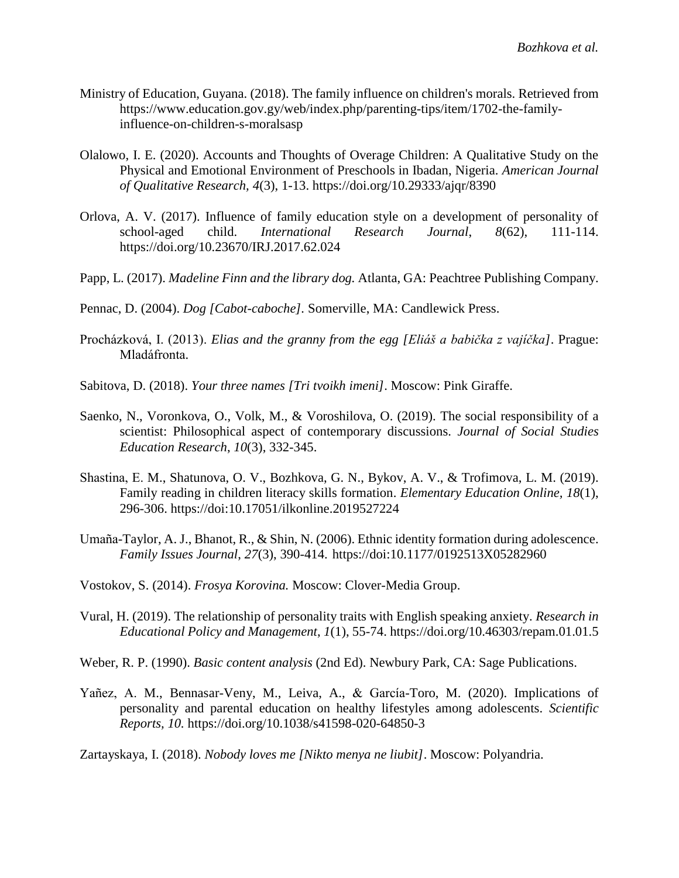- Ministry of Education, Guyana. (2018). The family influence on children's morals. Retrieved from [https://www.education.gov.gy/web/index.php/parenting-tips/item/1702-the-family](https://www.education.gov.gy/web/index.php/parenting-tips/item/1702-the-family-influence-on-children-s-morals)[influence-on-children-s-moralsa](https://www.education.gov.gy/web/index.php/parenting-tips/item/1702-the-family-influence-on-children-s-morals)sp
- Olalowo, I. E. (2020). Accounts and Thoughts of Overage Children: A Qualitative Study on the Physical and Emotional Environment of Preschools in Ibadan, Nigeria. *American Journal of Qualitative Research, 4*(3), 1-13. https://doi.org/10.29333/ajqr/8390
- Orlova, A. V. (2017). Influence of family education style on a development of personality of school-aged child. *International Research Journal*, *8*(62), 111-114. <https://doi.org/10.23670/IRJ.2017.62.024>
- Papp, L. (2017). *Madeline Finn and the library dog.* Atlanta, GA: Peachtree Publishing Company.
- Pennac, D. (2004). *Dog [Cabot-caboche].* Somerville, MA: Candlewick Press.
- Procházková, I. (2013). *Elias and the granny from the egg [Eliáš a babička z vajíčka]*. Prague: Mladáfronta.
- Sabitova, D. (2018). *Your three names [Tri tvoikh imeni]*. Moscow: Pink Giraffe.
- Saenko, N., Voronkova, O., Volk, M., & Voroshilova, O. (2019). The social responsibility of a scientist: Philosophical aspect of contemporary discussions. *Journal of Social Studies Education Research*, *10*(3), 332-345.
- Shastina, Е. M., Shatunova, O. V., Bozhkova, G. N., Bykov, A. V., & Trofimova, L. M. (2019). Family reading in children literacy skills formation. *Elementary Education Online, 18*(1), 296-306. https://doi[:10.17051/ilkonline.2019527224](https://doi.org/10.17051/ilkonline.2019.527224)
- Umaña-Taylor, A. J., Bhanot, R., & Shin, N. (2006). Ethnic identity formation during adolescence. *Family Issues Journal*, *27*(3), 390-414. <https://doi:10.1177/0192513X05282960>
- Vostokov, S. (2014). *Frosya Korovina.* Moscow: Clover-Media Group.
- Vural, H. (2019). The relationship of personality traits with English speaking anxiety. *Research in Educational Policy and Management*, *1*(1), 55-74. <https://doi.org/10.46303/repam.01.01.5>
- Weber, R. P. (1990). *Basic content analysis* (2nd Ed). Newbury Park, CA: Sage Publications.
- Yañez, A. M., Bennasar-Veny, M., Leiva, A., & García-Toro, M. (2020). Implications of personality and parental education on healthy lifestyles among adolescents. *Scientific Reports, 10.* https://doi.org/10.1038/s41598-020-64850-3
- Zartayskaya, I. (2018). *Nobody loves me [Nikto menya ne liubit]*. Moscow: Polyandria.